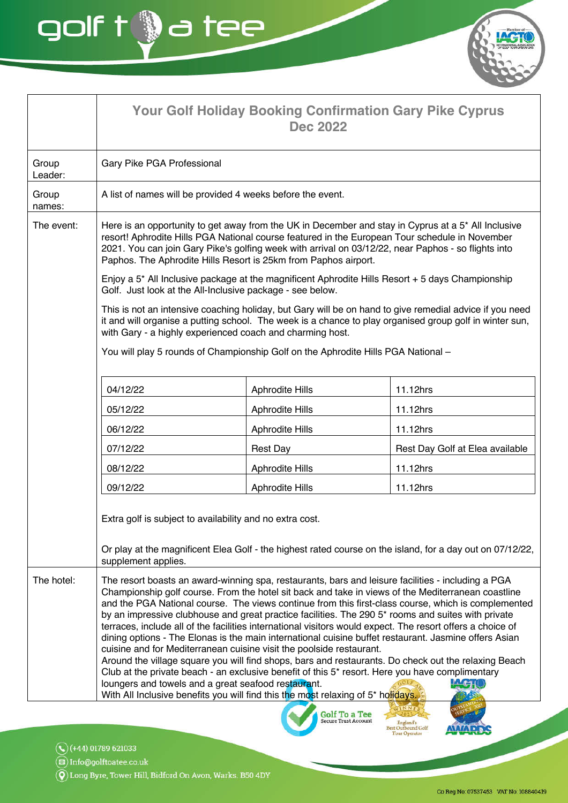**Your Golf Holiday Booking Confirmation Gary Pike Cyprus Dec 2022** Group Gary Pike PGA Professional Leader: A list of names will be provided 4 weeks before the event. Group names: The event: Here is an opportunity to get away from the UK in December and stay in Cyprus at a 5<sup>\*</sup> All Inclusive resort! Aphrodite Hills PGA National course featured in the European Tour schedule in November 2021. You can join Gary Pike's golfing week with arrival on 03/12/22, near Paphos - so flights into Paphos. The Aphrodite Hills Resort is 25km from Paphos airport. Enjoy a 5<sup>\*</sup> All Inclusive package at the magnificent Aphrodite Hills Resort + 5 days Championship Golf. Just look at the All-Inclusive package - see below. This is not an intensive coaching holiday, but Gary will be on hand to give remedial advice if you need it and will organise a putting school. The week is a chance to play organised group golf in winter sun, with Gary - a highly experienced coach and charming host. You will play 5 rounds of Championship Golf on the Aphrodite Hills PGA National -04/12/22 **Aphrodite Hills** 11.12hrs 05/12/22 Aphrodite Hills 11.12hrs 06/12/22 Aphrodite Hills 11.12hrs 07/12/22 **Rest Day** Rest Day Golf at Elea available 08/12/22 **Aphrodite Hills** 11.12hrs 09/12/22 **Aphrodite Hills** 11.12hrs Extra golf is subject to availability and no extra cost. Or play at the magnificent Elea Golf - the highest rated course on the island, for a day out on 07/12/22, supplement applies. The hotel: The resort boasts an award-winning spa, restaurants, bars and leisure facilities - including a PGA Championship golf course. From the hotel sit back and take in views of the Mediterranean coastline and the PGA National course. The views continue from this first-class course, which is complemented by an impressive clubhouse and great practice facilities. The 290 5<sup>\*</sup> rooms and suites with private terraces, include all of the facilities international visitors would expect. The resort offers a choice of dining options - The Elonas is the main international cuisine buffet restaurant. Jasmine offers Asian cuisine and for Mediterranean cuisine visit the poolside restaurant. Around the village square you will find shops, bars and restaurants. Do check out the relaxing Beach Club at the private beach - an exclusive benefit of this 5\* resort. Here you have complimentary loungers and towels and a great seafood restaurant.  $f + f$ With All Inclusive benefits you will find this the most relaxing of 5<sup>\*</sup> holidays.

**Golf To a Tee**<br>Secure Trust Account

igland's<br>(thound Golf

 $\mathbb{Q}$  (+44) 01789 621033

 $\circledR$  Info@golftoatee.co.uk

 $\widehat{\textbf{Q}}$ ) Long Byre, Tower Hill, Bidford On Avon, Warks. B50 4DY

golf t @a tee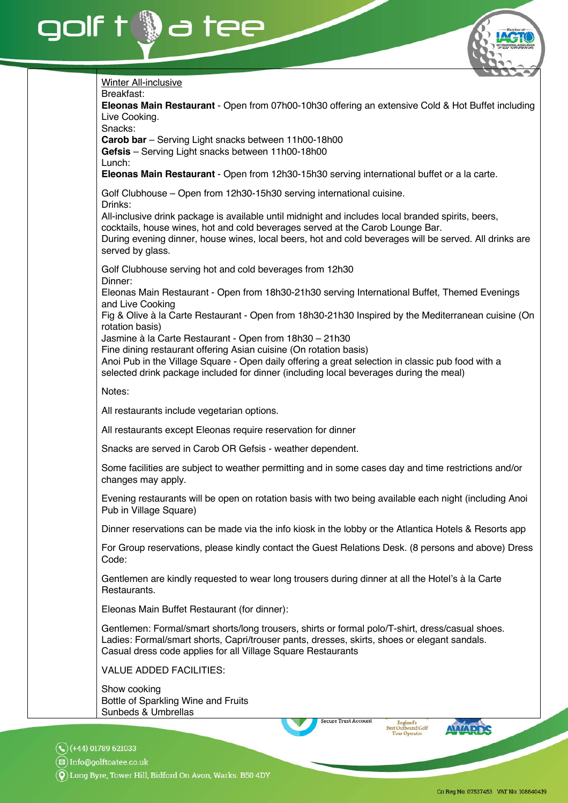

 $\widehat{\boldsymbol{Q}}$ ) Long Byre, Tower Hill, Bidford On Avon, Warks. B50 4DY